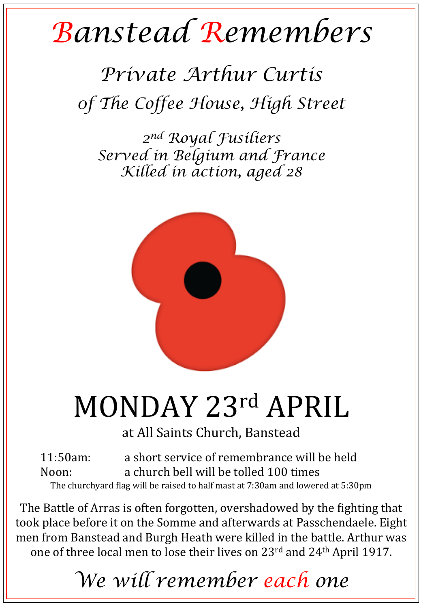## *Banstead Remembers*

## *Private Arthur Curtis 0f The Coffee House, High Street*

*2nd Royal Fusiliers Served in Belgium and France Killed in action, aged 28* 



# MONDAY 23rd APRIL

at All Saints Church, Banstead

11:50am: a short service of remembrance will be held Noon: a church bell will be tolled 100 times The churchyard flag will be raised to half mast at 7:30am and lowered at 5:30pm

The Battle of Arras is often forgotten, overshadowed by the fighting that took place before it on the Somme and afterwards at Passchendaele. Eight men from Banstead and Burgh Heath were killed in the battle. Arthur was one of three local men to lose their lives on  $23^{rd}$  and  $24^{th}$  April 1917.

## *We will remember each one*